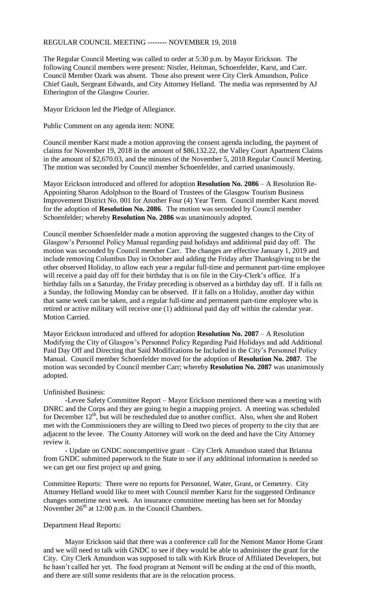## REGULAR COUNCIL MEETING -------- NOVEMBER 19, 2018

The Regular Council Meeting was called to order at 5:30 p.m. by Mayor Erickson. The following Council members were present: Nistler, Heitman, Schoenfelder, Karst, and Carr. Council Member Ozark was absent. Those also present were City Clerk Amundson, Police Chief Gault, Sergeant Edwards, and City Attorney Helland. The media was represented by AJ Etherington of the Glasgow Courier.

Mayor Erickson led the Pledge of Allegiance.

Public Comment on any agenda item: NONE

Council member Karst made a motion approving the consent agenda including, the payment of claims for November 19, 2018 in the amount of \$86,132.22, the Valley Court Apartment Claims in the amount of \$2,670.03, and the minutes of the November 5, 2018 Regular Council Meeting. The motion was seconded by Council member Schoenfelder, and carried unanimously.

Mayor Erickson introduced and offered for adoption **Resolution No. 2086** – A Resolution Re-Appointing Sharon Adolphson to the Board of Trustees of the Glasgow Tourism Business Improvement District No. 001 for Another Four (4) Year Term. Council member Karst moved for the adoption of **Resolution No. 2086**. The motion was seconded by Council member Schoenfelder; whereby **Resolution No. 2086** was unanimously adopted.

Council member Schoenfelder made a motion approving the suggested changes to the City of Glasgow's Personnel Policy Manual regarding paid holidays and additional paid day off. The motion was seconded by Council member Carr. The changes are effective January 1, 2019 and include removing Columbus Day in October and adding the Friday after Thanksgiving to be the other observed Holiday, to allow each year a regular full-time and permanent part-time employee will receive a paid day off for their birthday that is on file in the City-Clerk's office. If a birthday falls on a Saturday, the Friday preceding is observed as a birthday day off. If it falls on a Sunday, the following Monday can be observed. If it falls on a Holiday, another day within that same week can be taken, and a regular full-time and permanent part-time employee who is retired or active military will receive one (1) additional paid day off within the calendar year. Motion Carried.

Mayor Erickson introduced and offered for adoption **Resolution No. 2087** – A Resolution Modifying the City of Glasgow's Personnel Policy Regarding Paid Holidays and add Additional Paid Day Off and Directing that Said Modifications be Included in the City's Personnel Policy Manual. Council member Schoenfelder moved for the adoption of **Resolution No. 2087**. The motion was seconded by Council member Carr; whereby **Resolution No. 2087** was unanimously adopted.

## Unfinished Business:

-Levee Safety Committee Report – Mayor Erickson mentioned there was a meeting with DNRC and the Corps and they are going to begin a mapping project. A meeting was scheduled for December  $12<sup>th</sup>$ , but will be rescheduled due to another conflict. Also, when she and Robert met with the Commissioners they are willing to Deed two pieces of property to the city that are adjacent to the levee. The County Attorney will work on the deed and have the City Attorney review it.

- Update on GNDC noncompetitive grant – City Clerk Amundson stated that Brianna from GNDC submitted paperwork to the State to see if any additional information is needed so we can get our first project up and going.

Committee Reports: There were no reports for Personnel, Water, Grant, or Cemetery. City Attorney Helland would like to meet with Council member Karst for the suggested Ordinance changes sometime next week. An insurance committee meeting has been set for Monday November  $26<sup>th</sup>$  at 12:00 p.m. in the Council Chambers.

## Department Head Reports:

Mayor Erickson said that there was a conference call for the Nemont Manor Home Grant and we will need to talk with GNDC to see if they would be able to administer the grant for the City. City Clerk Amundson was supposed to talk with Kirk Bruce of Affiliated Developers, but he hasn't called her yet. The food program at Nemont will be ending at the end of this month, and there are still some residents that are in the relocation process.